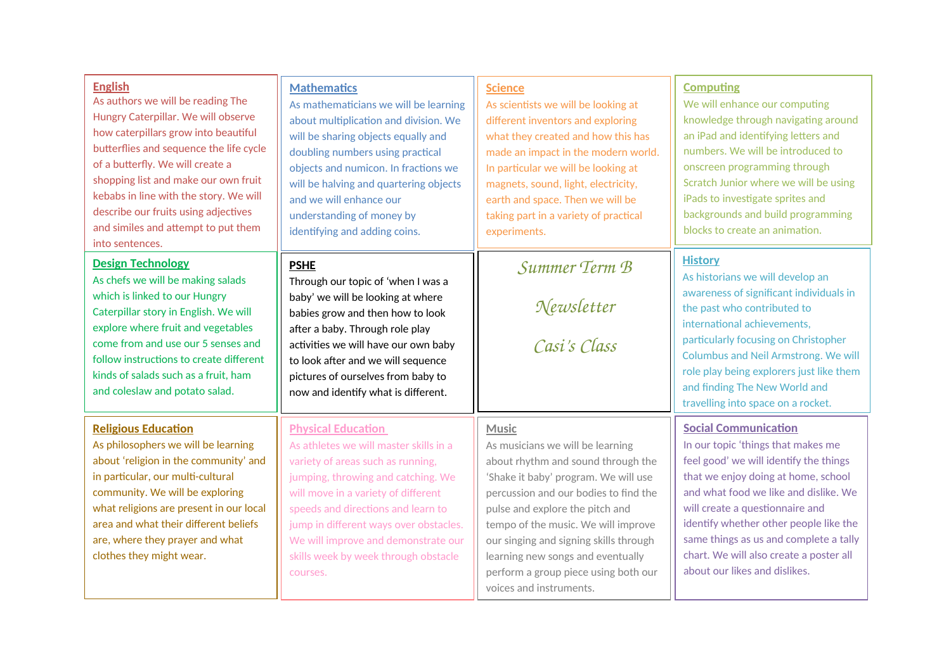| <b>English</b><br>As authors we will be reading The<br>Hungry Caterpillar. We will observe<br>how caterpillars grow into beautiful<br>butterflies and sequence the life cycle<br>of a butterfly. We will create a<br>shopping list and make our own fruit<br>kebabs in line with the story. We will<br>describe our fruits using adjectives<br>and similes and attempt to put them<br>into sentences. | <b>Mathematics</b><br>As mathematicians we will be learning<br>about multiplication and division. We<br>will be sharing objects equally and<br>doubling numbers using practical<br>objects and numicon. In fractions we<br>will be halving and quartering objects<br>and we will enhance our<br>understanding of money by<br>identifying and adding coins.       | <b>Science</b><br>As scientists we will be looking at<br>different inventors and exploring<br>what they created and how this has<br>made an impact in the modern world.<br>In particular we will be looking at<br>magnets, sound, light, electricity,<br>earth and space. Then we will be<br>taking part in a variety of practical<br>experiments.                                                  | <b>Computing</b><br>We will enhance our computing<br>knowledge through navigating around<br>an iPad and identifying letters and<br>numbers. We will be introduced to<br>onscreen programming through<br>Scratch Junior where we will be using<br>iPads to investigate sprites and<br>backgrounds and build programming<br>blocks to create an animation.                                       |
|-------------------------------------------------------------------------------------------------------------------------------------------------------------------------------------------------------------------------------------------------------------------------------------------------------------------------------------------------------------------------------------------------------|------------------------------------------------------------------------------------------------------------------------------------------------------------------------------------------------------------------------------------------------------------------------------------------------------------------------------------------------------------------|-----------------------------------------------------------------------------------------------------------------------------------------------------------------------------------------------------------------------------------------------------------------------------------------------------------------------------------------------------------------------------------------------------|------------------------------------------------------------------------------------------------------------------------------------------------------------------------------------------------------------------------------------------------------------------------------------------------------------------------------------------------------------------------------------------------|
| <b>Design Technology</b><br>As chefs we will be making salads<br>which is linked to our Hungry<br>Caterpillar story in English. We will<br>explore where fruit and vegetables<br>come from and use our 5 senses and<br>follow instructions to create different<br>kinds of salads such as a fruit, ham<br>and coleslaw and potato salad.                                                              | <b>PSHE</b><br>Through our topic of 'when I was a<br>baby' we will be looking at where<br>babies grow and then how to look<br>after a baby. Through role play<br>activities we will have our own baby<br>to look after and we will sequence<br>pictures of ourselves from baby to<br>now and identify what is different.                                         | Summer Term B<br>Newsletter<br>Casi's Class                                                                                                                                                                                                                                                                                                                                                         | <b>History</b><br>As historians we will develop an<br>awareness of significant individuals in<br>the past who contributed to<br>international achievements,<br>particularly focusing on Christopher<br>Columbus and Neil Armstrong. We will<br>role play being explorers just like them<br>and finding The New World and<br>travelling into space on a rocket.                                 |
| <b>Religious Education</b><br>As philosophers we will be learning<br>about 'religion in the community' and<br>in particular, our multi-cultural<br>community. We will be exploring<br>what religions are present in our local<br>area and what their different beliefs<br>are, where they prayer and what<br>clothes they might wear.                                                                 | <b>Physical Education</b><br>As athletes we will master skills in a<br>variety of areas such as running,<br>jumping, throwing and catching. We<br>will move in a variety of different<br>speeds and directions and learn to<br>jump in different ways over obstacles.<br>We will improve and demonstrate our<br>skills week by week through obstacle<br>courses. | <b>Music</b><br>As musicians we will be learning<br>about rhythm and sound through the<br>'Shake it baby' program. We will use<br>percussion and our bodies to find the<br>pulse and explore the pitch and<br>tempo of the music. We will improve<br>our singing and signing skills through<br>learning new songs and eventually<br>perform a group piece using both our<br>voices and instruments. | <b>Social Communication</b><br>In our topic 'things that makes me<br>feel good' we will identify the things<br>that we enjoy doing at home, school<br>and what food we like and dislike. We<br>will create a questionnaire and<br>identify whether other people like the<br>same things as us and complete a tally<br>chart. We will also create a poster all<br>about our likes and dislikes. |